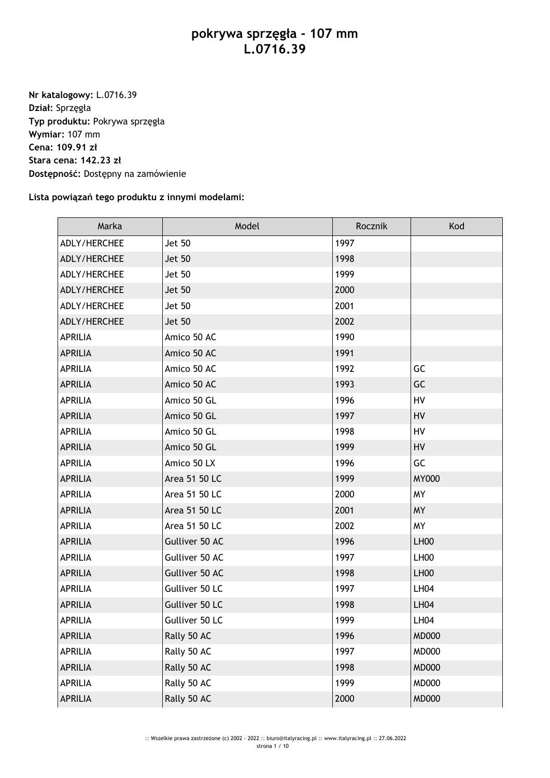## **pokrywa sprzęgła - 107 mm L.0716.39**

**Nr katalogowy:** L.0716.39 **Dział:** Sprzęgła **Typ produktu:** Pokrywa sprzęgła **Wymiar:** 107 mm **Cena: 109.91 zł Stara cena: 142.23 zł Dostępność:** Dostępny na zamówienie

## **Lista powiązań tego produktu z innymi modelami:**

| Marka          | Model          | Rocznik | Kod              |
|----------------|----------------|---------|------------------|
| ADLY/HERCHEE   | Jet 50         | 1997    |                  |
| ADLY/HERCHEE   | <b>Jet 50</b>  | 1998    |                  |
| ADLY/HERCHEE   | <b>Jet 50</b>  | 1999    |                  |
| ADLY/HERCHEE   | <b>Jet 50</b>  | 2000    |                  |
| ADLY/HERCHEE   | Jet 50         | 2001    |                  |
| ADLY/HERCHEE   | <b>Jet 50</b>  | 2002    |                  |
| <b>APRILIA</b> | Amico 50 AC    | 1990    |                  |
| <b>APRILIA</b> | Amico 50 AC    | 1991    |                  |
| <b>APRILIA</b> | Amico 50 AC    | 1992    | GC               |
| <b>APRILIA</b> | Amico 50 AC    | 1993    | GC               |
| <b>APRILIA</b> | Amico 50 GL    | 1996    | HV               |
| <b>APRILIA</b> | Amico 50 GL    | 1997    | HV               |
| <b>APRILIA</b> | Amico 50 GL    | 1998    | HV               |
| <b>APRILIA</b> | Amico 50 GL    | 1999    | HV               |
| <b>APRILIA</b> | Amico 50 LX    | 1996    | GC               |
| <b>APRILIA</b> | Area 51 50 LC  | 1999    | <b>MY000</b>     |
| <b>APRILIA</b> | Area 51 50 LC  | 2000    | <b>MY</b>        |
| <b>APRILIA</b> | Area 51 50 LC  | 2001    | <b>MY</b>        |
| <b>APRILIA</b> | Area 51 50 LC  | 2002    | <b>MY</b>        |
| <b>APRILIA</b> | Gulliver 50 AC | 1996    | LH <sub>00</sub> |
| <b>APRILIA</b> | Gulliver 50 AC | 1997    | LH <sub>00</sub> |
| <b>APRILIA</b> | Gulliver 50 AC | 1998    | LH <sub>00</sub> |
| <b>APRILIA</b> | Gulliver 50 LC | 1997    | <b>LH04</b>      |
| <b>APRILIA</b> | Gulliver 50 LC | 1998    | <b>LH04</b>      |
| <b>APRILIA</b> | Gulliver 50 LC | 1999    | <b>LH04</b>      |
| <b>APRILIA</b> | Rally 50 AC    | 1996    | <b>MD000</b>     |
| APRILIA        | Rally 50 AC    | 1997    | <b>MD000</b>     |
| <b>APRILIA</b> | Rally 50 AC    | 1998    | <b>MD000</b>     |
| APRILIA        | Rally 50 AC    | 1999    | <b>MD000</b>     |
| <b>APRILIA</b> | Rally 50 AC    | 2000    | <b>MD000</b>     |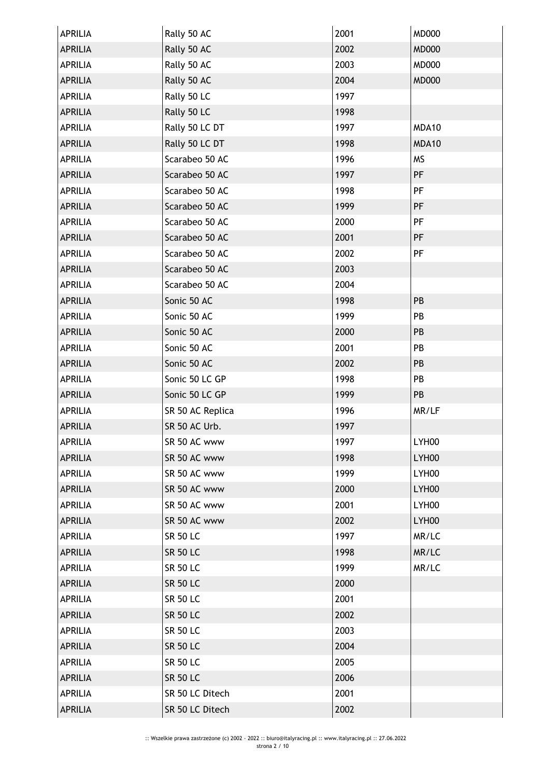| <b>APRILIA</b> | Rally 50 AC      | 2001 | <b>MD000</b>      |
|----------------|------------------|------|-------------------|
| <b>APRILIA</b> | Rally 50 AC      | 2002 | <b>MD000</b>      |
| <b>APRILIA</b> | Rally 50 AC      | 2003 | <b>MD000</b>      |
| <b>APRILIA</b> | Rally 50 AC      | 2004 | <b>MD000</b>      |
| <b>APRILIA</b> | Rally 50 LC      | 1997 |                   |
| <b>APRILIA</b> | Rally 50 LC      | 1998 |                   |
| <b>APRILIA</b> | Rally 50 LC DT   | 1997 | MDA10             |
| <b>APRILIA</b> | Rally 50 LC DT   | 1998 | MDA10             |
| <b>APRILIA</b> | Scarabeo 50 AC   | 1996 | <b>MS</b>         |
| <b>APRILIA</b> | Scarabeo 50 AC   | 1997 | PF                |
| <b>APRILIA</b> | Scarabeo 50 AC   | 1998 | PF                |
| <b>APRILIA</b> | Scarabeo 50 AC   | 1999 | PF                |
| <b>APRILIA</b> | Scarabeo 50 AC   | 2000 | PF                |
| <b>APRILIA</b> | Scarabeo 50 AC   | 2001 | PF                |
| <b>APRILIA</b> | Scarabeo 50 AC   | 2002 | PF                |
| <b>APRILIA</b> | Scarabeo 50 AC   | 2003 |                   |
| <b>APRILIA</b> | Scarabeo 50 AC   | 2004 |                   |
| <b>APRILIA</b> | Sonic 50 AC      | 1998 | PB                |
| <b>APRILIA</b> | Sonic 50 AC      | 1999 | PB                |
| <b>APRILIA</b> | Sonic 50 AC      | 2000 | PB                |
| <b>APRILIA</b> | Sonic 50 AC      | 2001 | PB                |
| <b>APRILIA</b> | Sonic 50 AC      | 2002 | PB                |
| <b>APRILIA</b> | Sonic 50 LC GP   | 1998 | PB                |
| <b>APRILIA</b> | Sonic 50 LC GP   | 1999 | PB                |
| <b>APRILIA</b> | SR 50 AC Replica | 1996 | MR/LF             |
| <b>APRILIA</b> | SR 50 AC Urb.    | 1997 |                   |
| APRILIA        | SR 50 AC www     | 1997 | LYH <sub>00</sub> |
| <b>APRILIA</b> | SR 50 AC www     | 1998 | LYH00             |
| <b>APRILIA</b> | SR 50 AC www     | 1999 | LYH00             |
| <b>APRILIA</b> | SR 50 AC www     | 2000 | LYH00             |
| <b>APRILIA</b> | SR 50 AC www     | 2001 | LYH00             |
| <b>APRILIA</b> | SR 50 AC www     | 2002 | LYH00             |
| <b>APRILIA</b> | <b>SR 50 LC</b>  | 1997 | MR/LC             |
| <b>APRILIA</b> | <b>SR 50 LC</b>  | 1998 | MR/LC             |
| <b>APRILIA</b> | <b>SR 50 LC</b>  | 1999 | MR/LC             |
| <b>APRILIA</b> | <b>SR 50 LC</b>  | 2000 |                   |
| <b>APRILIA</b> | <b>SR 50 LC</b>  | 2001 |                   |
| <b>APRILIA</b> | <b>SR 50 LC</b>  | 2002 |                   |
| <b>APRILIA</b> | <b>SR 50 LC</b>  | 2003 |                   |
| <b>APRILIA</b> | <b>SR 50 LC</b>  | 2004 |                   |
| <b>APRILIA</b> | <b>SR 50 LC</b>  | 2005 |                   |
| <b>APRILIA</b> | <b>SR 50 LC</b>  | 2006 |                   |
| APRILIA        | SR 50 LC Ditech  | 2001 |                   |
| <b>APRILIA</b> | SR 50 LC Ditech  | 2002 |                   |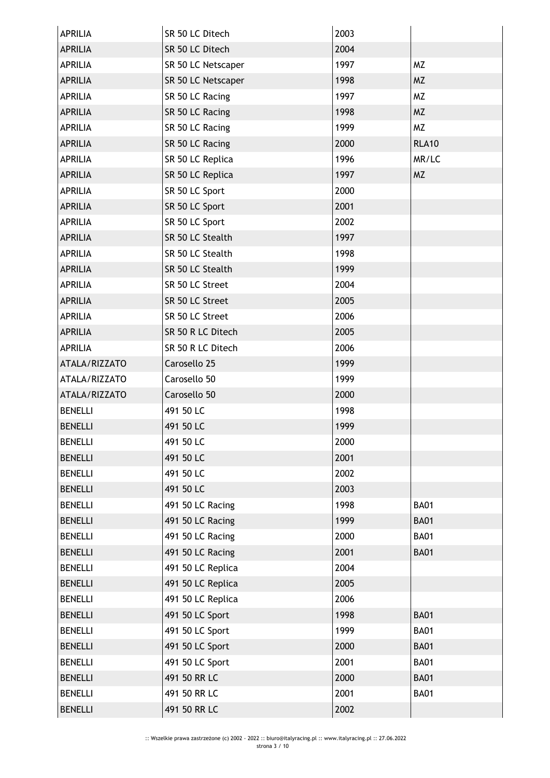| APRILIA        | SR 50 LC Ditech    | 2003 |              |
|----------------|--------------------|------|--------------|
| <b>APRILIA</b> | SR 50 LC Ditech    | 2004 |              |
| <b>APRILIA</b> | SR 50 LC Netscaper | 1997 | <b>MZ</b>    |
| <b>APRILIA</b> | SR 50 LC Netscaper | 1998 | <b>MZ</b>    |
| <b>APRILIA</b> | SR 50 LC Racing    | 1997 | <b>MZ</b>    |
| <b>APRILIA</b> | SR 50 LC Racing    | 1998 | <b>MZ</b>    |
| APRILIA        | SR 50 LC Racing    | 1999 | <b>MZ</b>    |
| <b>APRILIA</b> | SR 50 LC Racing    | 2000 | <b>RLA10</b> |
| <b>APRILIA</b> | SR 50 LC Replica   | 1996 | MR/LC        |
| <b>APRILIA</b> | SR 50 LC Replica   | 1997 | <b>MZ</b>    |
| APRILIA        | SR 50 LC Sport     | 2000 |              |
| <b>APRILIA</b> | SR 50 LC Sport     | 2001 |              |
| <b>APRILIA</b> | SR 50 LC Sport     | 2002 |              |
| <b>APRILIA</b> | SR 50 LC Stealth   | 1997 |              |
| <b>APRILIA</b> | SR 50 LC Stealth   | 1998 |              |
| <b>APRILIA</b> | SR 50 LC Stealth   | 1999 |              |
| APRILIA        | SR 50 LC Street    | 2004 |              |
| <b>APRILIA</b> | SR 50 LC Street    | 2005 |              |
| <b>APRILIA</b> | SR 50 LC Street    | 2006 |              |
| <b>APRILIA</b> | SR 50 R LC Ditech  | 2005 |              |
| <b>APRILIA</b> | SR 50 R LC Ditech  | 2006 |              |
| ATALA/RIZZATO  | Carosello 25       | 1999 |              |
| ATALA/RIZZATO  | Carosello 50       | 1999 |              |
| ATALA/RIZZATO  | Carosello 50       | 2000 |              |
| <b>BENELLI</b> | 491 50 LC          | 1998 |              |
| <b>BENELLI</b> | 491 50 LC          | 1999 |              |
| <b>BENELLI</b> | 491 50 LC          | 2000 |              |
| <b>BENELLI</b> | 491 50 LC          | 2001 |              |
| <b>BENELLI</b> | 491 50 LC          | 2002 |              |
| <b>BENELLI</b> | 491 50 LC          | 2003 |              |
| <b>BENELLI</b> | 491 50 LC Racing   | 1998 | <b>BA01</b>  |
| <b>BENELLI</b> | 491 50 LC Racing   | 1999 | <b>BA01</b>  |
| <b>BENELLI</b> | 491 50 LC Racing   | 2000 | <b>BA01</b>  |
| <b>BENELLI</b> | 491 50 LC Racing   | 2001 | <b>BA01</b>  |
| <b>BENELLI</b> | 491 50 LC Replica  | 2004 |              |
| <b>BENELLI</b> | 491 50 LC Replica  | 2005 |              |
| <b>BENELLI</b> | 491 50 LC Replica  | 2006 |              |
| <b>BENELLI</b> | 491 50 LC Sport    | 1998 | <b>BA01</b>  |
| <b>BENELLI</b> | 491 50 LC Sport    | 1999 | <b>BA01</b>  |
| <b>BENELLI</b> | 491 50 LC Sport    | 2000 | <b>BA01</b>  |
| <b>BENELLI</b> | 491 50 LC Sport    | 2001 | <b>BA01</b>  |
| <b>BENELLI</b> | 491 50 RR LC       | 2000 | <b>BA01</b>  |
| <b>BENELLI</b> | 491 50 RR LC       | 2001 | <b>BA01</b>  |
| <b>BENELLI</b> | 491 50 RR LC       | 2002 |              |
|                |                    |      |              |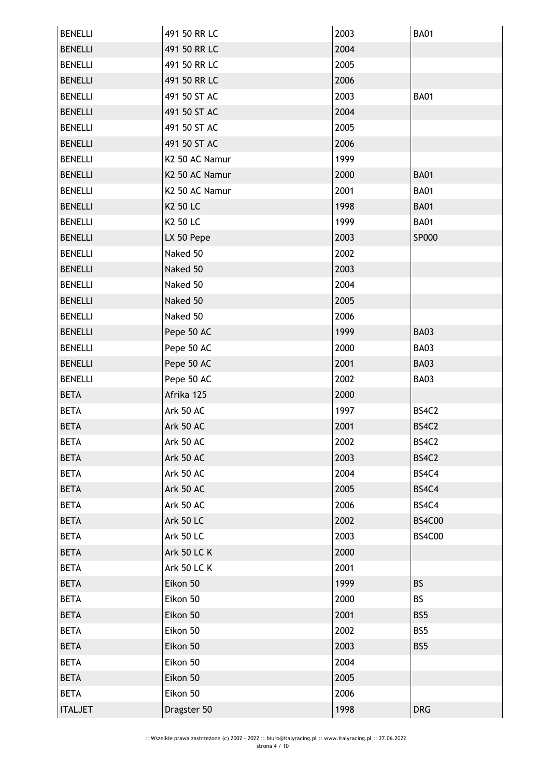| <b>BENELLI</b> | 491 50 RR LC       | 2003 | <b>BA01</b>   |
|----------------|--------------------|------|---------------|
| <b>BENELLI</b> | 491 50 RR LC       | 2004 |               |
| <b>BENELLI</b> | 491 50 RR LC       | 2005 |               |
| <b>BENELLI</b> | 491 50 RR LC       | 2006 |               |
| <b>BENELLI</b> | 491 50 ST AC       | 2003 | <b>BA01</b>   |
| <b>BENELLI</b> | 491 50 ST AC       | 2004 |               |
| <b>BENELLI</b> | 491 50 ST AC       | 2005 |               |
| <b>BENELLI</b> | 491 50 ST AC       | 2006 |               |
| <b>BENELLI</b> | K2 50 AC Namur     | 1999 |               |
| <b>BENELLI</b> | K2 50 AC Namur     | 2000 | <b>BA01</b>   |
| <b>BENELLI</b> | K2 50 AC Namur     | 2001 | <b>BA01</b>   |
| <b>BENELLI</b> | K2 50 LC           | 1998 | <b>BA01</b>   |
| <b>BENELLI</b> | K2 50 LC           | 1999 | <b>BA01</b>   |
| <b>BENELLI</b> | LX 50 Pepe         | 2003 | SP000         |
| <b>BENELLI</b> | Naked 50           | 2002 |               |
| <b>BENELLI</b> | Naked 50           | 2003 |               |
| <b>BENELLI</b> | Naked 50           | 2004 |               |
| <b>BENELLI</b> | Naked 50           | 2005 |               |
| <b>BENELLI</b> | Naked 50           | 2006 |               |
| <b>BENELLI</b> | Pepe 50 AC         | 1999 | <b>BA03</b>   |
| <b>BENELLI</b> | Pepe 50 AC         | 2000 | BA03          |
| <b>BENELLI</b> | Pepe 50 AC         | 2001 | <b>BA03</b>   |
| <b>BENELLI</b> | Pepe 50 AC         | 2002 | <b>BA03</b>   |
| <b>BETA</b>    | Afrika 125         | 2000 |               |
| <b>BETA</b>    | Ark 50 AC          | 1997 | BS4C2         |
| <b>BETA</b>    | Ark 50 AC          | 2001 | BS4C2         |
| BETA           | Ark 50 AC          | 2002 | BS4C2         |
| <b>BETA</b>    | Ark 50 AC          | 2003 | BS4C2         |
| <b>BETA</b>    | Ark 50 AC          | 2004 | BS4C4         |
| <b>BETA</b>    | Ark 50 AC          | 2005 | BS4C4         |
| <b>BETA</b>    | Ark 50 AC          | 2006 | BS4C4         |
| <b>BETA</b>    | <b>Ark 50 LC</b>   | 2002 | <b>BS4C00</b> |
| <b>BETA</b>    | Ark 50 LC          | 2003 | <b>BS4C00</b> |
| <b>BETA</b>    | <b>Ark 50 LC K</b> | 2000 |               |
| <b>BETA</b>    | <b>Ark 50 LC K</b> | 2001 |               |
| <b>BETA</b>    | Eikon 50           | 1999 | <b>BS</b>     |
| <b>BETA</b>    | Eikon 50           | 2000 | <b>BS</b>     |
| <b>BETA</b>    | Eikon 50           | 2001 | BS5           |
| <b>BETA</b>    | Eikon 50           | 2002 | BS5           |
| <b>BETA</b>    | Eikon 50           | 2003 | BS5           |
| <b>BETA</b>    | Eikon 50           | 2004 |               |
| <b>BETA</b>    | Eikon 50           | 2005 |               |
| <b>BETA</b>    | Eikon 50           | 2006 |               |
| <b>ITALJET</b> | Dragster 50        | 1998 | <b>DRG</b>    |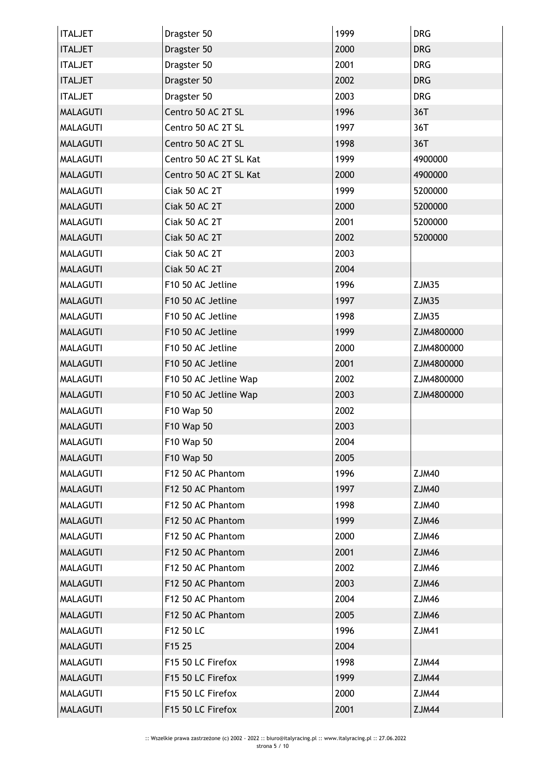| <b>ITALJET</b>  | Dragster 50            | 1999 | <b>DRG</b>   |
|-----------------|------------------------|------|--------------|
| <b>ITALJET</b>  | Dragster 50            | 2000 | <b>DRG</b>   |
| <b>ITALJET</b>  | Dragster 50            | 2001 | <b>DRG</b>   |
| <b>ITALJET</b>  | Dragster 50            | 2002 | <b>DRG</b>   |
| <b>ITALJET</b>  | Dragster 50            | 2003 | <b>DRG</b>   |
| <b>MALAGUTI</b> | Centro 50 AC 2T SL     | 1996 | 36T          |
| <b>MALAGUTI</b> | Centro 50 AC 2T SL     | 1997 | 36T          |
| <b>MALAGUTI</b> | Centro 50 AC 2T SL     | 1998 | 36T          |
| <b>MALAGUTI</b> | Centro 50 AC 2T SL Kat | 1999 | 4900000      |
| <b>MALAGUTI</b> | Centro 50 AC 2T SL Kat | 2000 | 4900000      |
| <b>MALAGUTI</b> | Ciak 50 AC 2T          | 1999 | 5200000      |
| <b>MALAGUTI</b> | Ciak 50 AC 2T          | 2000 | 5200000      |
| <b>MALAGUTI</b> | Ciak 50 AC 2T          | 2001 | 5200000      |
| <b>MALAGUTI</b> | Ciak 50 AC 2T          | 2002 | 5200000      |
| <b>MALAGUTI</b> | Ciak 50 AC 2T          | 2003 |              |
| <b>MALAGUTI</b> | Ciak 50 AC 2T          | 2004 |              |
| <b>MALAGUTI</b> | F10 50 AC Jetline      | 1996 | ZJM35        |
| <b>MALAGUTI</b> | F10 50 AC Jetline      | 1997 | ZJM35        |
| <b>MALAGUTI</b> | F10 50 AC Jetline      | 1998 | ZJM35        |
| <b>MALAGUTI</b> | F10 50 AC Jetline      | 1999 | ZJM4800000   |
| <b>MALAGUTI</b> | F10 50 AC Jetline      | 2000 | ZJM4800000   |
| <b>MALAGUTI</b> | F10 50 AC Jetline      | 2001 | ZJM4800000   |
| <b>MALAGUTI</b> | F10 50 AC Jetline Wap  | 2002 | ZJM4800000   |
| <b>MALAGUTI</b> | F10 50 AC Jetline Wap  | 2003 | ZJM4800000   |
| <b>MALAGUTI</b> | F10 Wap 50             | 2002 |              |
| <b>MALAGUTI</b> | F10 Wap 50             | 2003 |              |
| <b>MALAGUTI</b> | F10 Wap 50             | 2004 |              |
| <b>MALAGUTI</b> | F10 Wap 50             | 2005 |              |
| <b>MALAGUTI</b> | F12 50 AC Phantom      | 1996 | <b>ZJM40</b> |
| <b>MALAGUTI</b> | F12 50 AC Phantom      | 1997 | <b>ZJM40</b> |
| <b>MALAGUTI</b> | F12 50 AC Phantom      | 1998 | <b>ZJM40</b> |
| <b>MALAGUTI</b> | F12 50 AC Phantom      | 1999 | ZJM46        |
| <b>MALAGUTI</b> | F12 50 AC Phantom      | 2000 | ZJM46        |
| <b>MALAGUTI</b> | F12 50 AC Phantom      | 2001 | <b>ZJM46</b> |
| <b>MALAGUTI</b> | F12 50 AC Phantom      | 2002 | <b>ZJM46</b> |
| <b>MALAGUTI</b> | F12 50 AC Phantom      | 2003 | ZJM46        |
| <b>MALAGUTI</b> | F12 50 AC Phantom      | 2004 | ZJM46        |
| <b>MALAGUTI</b> | F12 50 AC Phantom      | 2005 | <b>ZJM46</b> |
| <b>MALAGUTI</b> | F12 50 LC              | 1996 | <b>ZJM41</b> |
| <b>MALAGUTI</b> | F15 25                 | 2004 |              |
| <b>MALAGUTI</b> | F15 50 LC Firefox      | 1998 | ZJM44        |
| <b>MALAGUTI</b> | F15 50 LC Firefox      | 1999 | <b>ZJM44</b> |
| <b>MALAGUTI</b> | F15 50 LC Firefox      | 2000 | ZJM44        |
| <b>MALAGUTI</b> | F15 50 LC Firefox      | 2001 | ZJM44        |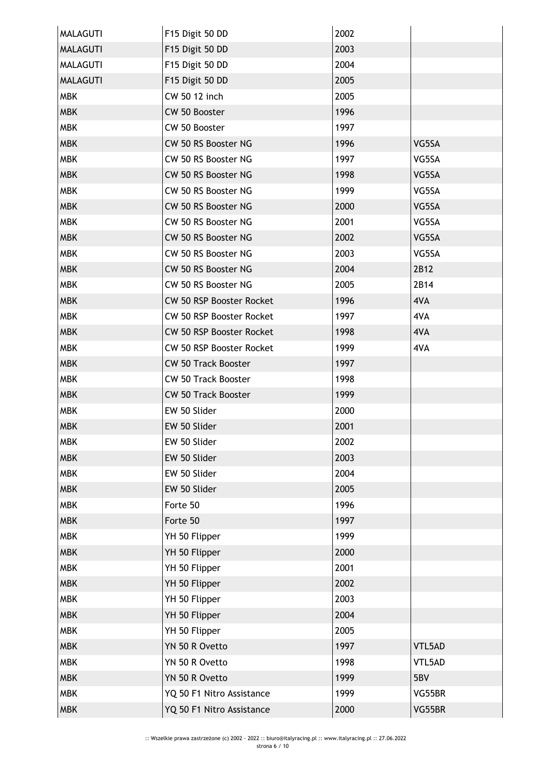| <b>MALAGUTI</b> | F15 Digit 50 DD            | 2002 |        |
|-----------------|----------------------------|------|--------|
| <b>MALAGUTI</b> | F15 Digit 50 DD            | 2003 |        |
| <b>MALAGUTI</b> | F15 Digit 50 DD            | 2004 |        |
| <b>MALAGUTI</b> | F15 Digit 50 DD            | 2005 |        |
| <b>MBK</b>      | CW 50 12 inch              | 2005 |        |
| <b>MBK</b>      | CW 50 Booster              | 1996 |        |
| <b>MBK</b>      | CW 50 Booster              | 1997 |        |
| <b>MBK</b>      | CW 50 RS Booster NG        | 1996 | VG5SA  |
| <b>MBK</b>      | CW 50 RS Booster NG        | 1997 | VG5SA  |
| <b>MBK</b>      | CW 50 RS Booster NG        | 1998 | VG5SA  |
| <b>MBK</b>      | CW 50 RS Booster NG        | 1999 | VG5SA  |
| <b>MBK</b>      | CW 50 RS Booster NG        | 2000 | VG5SA  |
| <b>MBK</b>      | CW 50 RS Booster NG        | 2001 | VG5SA  |
| <b>MBK</b>      | CW 50 RS Booster NG        | 2002 | VG5SA  |
| <b>MBK</b>      | CW 50 RS Booster NG        | 2003 | VG5SA  |
| <b>MBK</b>      | CW 50 RS Booster NG        | 2004 | 2B12   |
| <b>MBK</b>      | CW 50 RS Booster NG        | 2005 | 2B14   |
| <b>MBK</b>      | CW 50 RSP Booster Rocket   | 1996 | 4VA    |
| <b>MBK</b>      | CW 50 RSP Booster Rocket   | 1997 | 4VA    |
| <b>MBK</b>      | CW 50 RSP Booster Rocket   | 1998 | 4VA    |
| <b>MBK</b>      | CW 50 RSP Booster Rocket   | 1999 | 4VA    |
| <b>MBK</b>      | <b>CW 50 Track Booster</b> | 1997 |        |
| <b>MBK</b>      | <b>CW 50 Track Booster</b> | 1998 |        |
| <b>MBK</b>      | <b>CW 50 Track Booster</b> | 1999 |        |
| <b>MBK</b>      | EW 50 Slider               | 2000 |        |
| <b>MBK</b>      | EW 50 Slider               | 2001 |        |
| MBK             | EW 50 Slider               | 2002 |        |
| <b>MBK</b>      | EW 50 Slider               | 2003 |        |
| <b>MBK</b>      | EW 50 Slider               | 2004 |        |
| <b>MBK</b>      | EW 50 Slider               | 2005 |        |
| <b>MBK</b>      | Forte 50                   | 1996 |        |
| <b>MBK</b>      | Forte 50                   | 1997 |        |
| <b>MBK</b>      | YH 50 Flipper              | 1999 |        |
| <b>MBK</b>      | YH 50 Flipper              | 2000 |        |
| <b>MBK</b>      | YH 50 Flipper              | 2001 |        |
| <b>MBK</b>      | YH 50 Flipper              | 2002 |        |
| <b>MBK</b>      | YH 50 Flipper              | 2003 |        |
| <b>MBK</b>      | YH 50 Flipper              | 2004 |        |
| <b>MBK</b>      | YH 50 Flipper              | 2005 |        |
| <b>MBK</b>      | YN 50 R Ovetto             | 1997 | VTL5AD |
| <b>MBK</b>      | YN 50 R Ovetto             | 1998 | VTL5AD |
| <b>MBK</b>      | YN 50 R Ovetto             | 1999 | 5BV    |
| <b>MBK</b>      | YQ 50 F1 Nitro Assistance  | 1999 | VG55BR |
| <b>MBK</b>      | YQ 50 F1 Nitro Assistance  | 2000 | VG55BR |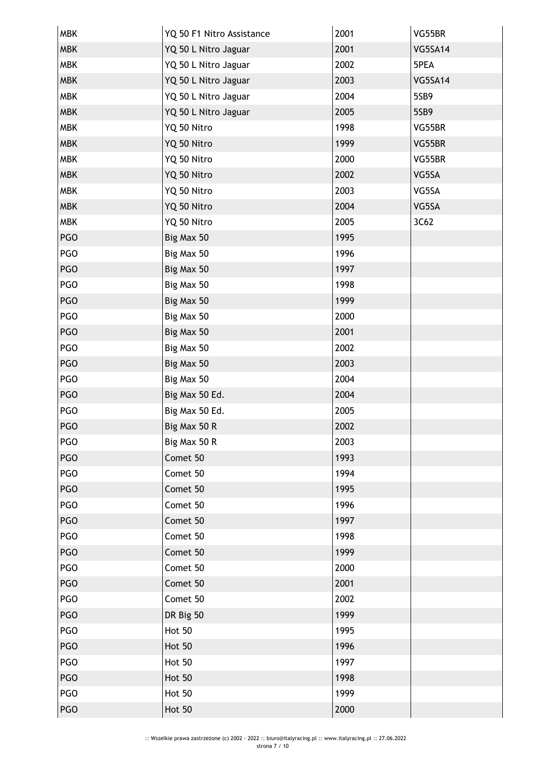| <b>MBK</b> | YQ 50 F1 Nitro Assistance | 2001 | VG55BR         |
|------------|---------------------------|------|----------------|
| <b>MBK</b> | YQ 50 L Nitro Jaguar      | 2001 | VG5SA14        |
| <b>MBK</b> | YQ 50 L Nitro Jaguar      | 2002 | 5PEA           |
| <b>MBK</b> | YQ 50 L Nitro Jaguar      | 2003 | <b>VG5SA14</b> |
| <b>MBK</b> | YQ 50 L Nitro Jaguar      | 2004 | 5SB9           |
| <b>MBK</b> | YQ 50 L Nitro Jaguar      | 2005 | 5SB9           |
| <b>MBK</b> | YQ 50 Nitro               | 1998 | VG55BR         |
| <b>MBK</b> | YQ 50 Nitro               | 1999 | VG55BR         |
| <b>MBK</b> | YQ 50 Nitro               | 2000 | VG55BR         |
| <b>MBK</b> | YQ 50 Nitro               | 2002 | VG5SA          |
| <b>MBK</b> | YQ 50 Nitro               | 2003 | VG5SA          |
| <b>MBK</b> | YQ 50 Nitro               | 2004 | VG5SA          |
| <b>MBK</b> | YQ 50 Nitro               | 2005 | 3C62           |
| <b>PGO</b> | Big Max 50                | 1995 |                |
| PGO        | Big Max 50                | 1996 |                |
| <b>PGO</b> | Big Max 50                | 1997 |                |
| PGO        | Big Max 50                | 1998 |                |
| <b>PGO</b> | Big Max 50                | 1999 |                |
| PGO        | Big Max 50                | 2000 |                |
| <b>PGO</b> | Big Max 50                | 2001 |                |
| PGO        | Big Max 50                | 2002 |                |
| <b>PGO</b> | Big Max 50                | 2003 |                |
| PGO        | Big Max 50                | 2004 |                |
| <b>PGO</b> | Big Max 50 Ed.            | 2004 |                |
| <b>PGO</b> | Big Max 50 Ed.            | 2005 |                |
| <b>PGO</b> | Big Max 50 R              | 2002 |                |
| PGO        | Big Max 50 R              | 2003 |                |
| <b>PGO</b> | Comet 50                  | 1993 |                |
| PGO        | Comet 50                  | 1994 |                |
| <b>PGO</b> | Comet 50                  | 1995 |                |
| PGO        | Comet 50                  | 1996 |                |
| <b>PGO</b> | Comet 50                  | 1997 |                |
| PGO        | Comet 50                  | 1998 |                |
| PGO        | Comet 50                  | 1999 |                |
| PGO        | Comet 50                  | 2000 |                |
| PGO        | Comet 50                  | 2001 |                |
| PGO        | Comet 50                  | 2002 |                |
| <b>PGO</b> | DR Big 50                 | 1999 |                |
| PGO        | <b>Hot 50</b>             | 1995 |                |
| PGO        | <b>Hot 50</b>             | 1996 |                |
| <b>PGO</b> | <b>Hot 50</b>             | 1997 |                |
| <b>PGO</b> | <b>Hot 50</b>             | 1998 |                |
| PGO        | <b>Hot 50</b>             | 1999 |                |
| <b>PGO</b> | <b>Hot 50</b>             | 2000 |                |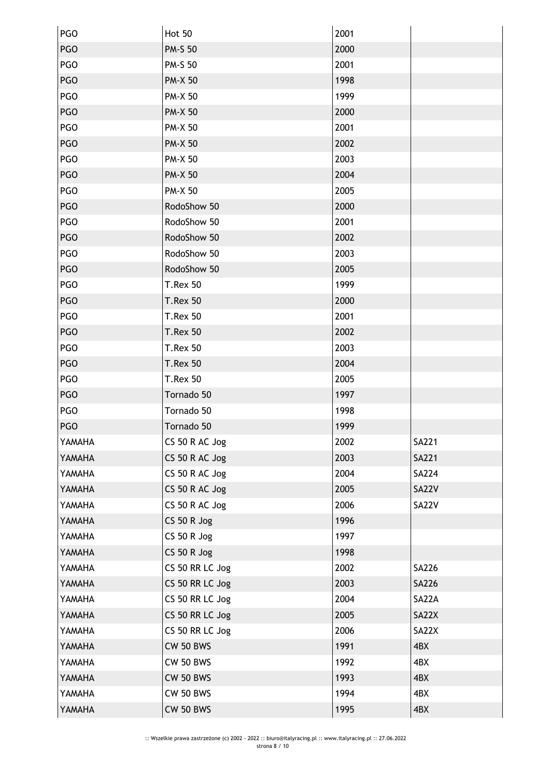| PGO        | Hot 50             | 2001 |              |
|------------|--------------------|------|--------------|
| <b>PGO</b> | <b>PM-S 50</b>     | 2000 |              |
| PGO        | <b>PM-S 50</b>     | 2001 |              |
| <b>PGO</b> | <b>PM-X 50</b>     | 1998 |              |
| PGO        | <b>PM-X 50</b>     | 1999 |              |
| <b>PGO</b> | <b>PM-X 50</b>     | 2000 |              |
| <b>PGO</b> | <b>PM-X 50</b>     | 2001 |              |
| <b>PGO</b> | <b>PM-X 50</b>     | 2002 |              |
| <b>PGO</b> | <b>PM-X 50</b>     | 2003 |              |
| <b>PGO</b> | <b>PM-X 50</b>     | 2004 |              |
| PGO        | <b>PM-X 50</b>     | 2005 |              |
| <b>PGO</b> | RodoShow 50        | 2000 |              |
| <b>PGO</b> | RodoShow 50        | 2001 |              |
| <b>PGO</b> | RodoShow 50        | 2002 |              |
| PGO        | RodoShow 50        | 2003 |              |
| <b>PGO</b> | RodoShow 50        | 2005 |              |
| PGO        | <b>T.Rex 50</b>    | 1999 |              |
| <b>PGO</b> | <b>T.Rex 50</b>    | 2000 |              |
| PGO        | <b>T.Rex 50</b>    | 2001 |              |
| <b>PGO</b> | <b>T.Rex 50</b>    | 2002 |              |
| <b>PGO</b> | <b>T.Rex 50</b>    | 2003 |              |
| <b>PGO</b> | <b>T.Rex 50</b>    | 2004 |              |
| <b>PGO</b> | <b>T.Rex 50</b>    | 2005 |              |
| <b>PGO</b> | Tornado 50         | 1997 |              |
| PGO        | Tornado 50         | 1998 |              |
| <b>PGO</b> | Tornado 50         | 1999 |              |
| YAMAHA     | CS 50 R AC Jog     | 2002 | SA221        |
| YAMAHA     | CS 50 R AC Jog     | 2003 | <b>SA221</b> |
| YAMAHA     | CS 50 R AC Jog     | 2004 | <b>SA224</b> |
| YAMAHA     | CS 50 R AC Jog     | 2005 | SA22V        |
| YAMAHA     | CS 50 R AC Jog     | 2006 | SA22V        |
| YAMAHA     | <b>CS 50 R Jog</b> | 1996 |              |
| YAMAHA     | $CS$ 50 R Jog      | 1997 |              |
| YAMAHA     | <b>CS 50 R Jog</b> | 1998 |              |
| YAMAHA     | CS 50 RR LC Jog    | 2002 | <b>SA226</b> |
| YAMAHA     | CS 50 RR LC Jog    | 2003 | <b>SA226</b> |
| YAMAHA     | CS 50 RR LC Jog    | 2004 | SA22A        |
| YAMAHA     | CS 50 RR LC Jog    | 2005 | SA22X        |
| YAMAHA     | CS 50 RR LC Jog    | 2006 | SA22X        |
| YAMAHA     | <b>CW 50 BWS</b>   | 1991 | 4BX          |
| YAMAHA     | <b>CW 50 BWS</b>   | 1992 | 4BX          |
| YAMAHA     | <b>CW 50 BWS</b>   | 1993 | 4BX          |
| YAMAHA     | <b>CW 50 BWS</b>   | 1994 | 4BX          |
| YAMAHA     | <b>CW 50 BWS</b>   | 1995 | 4BX          |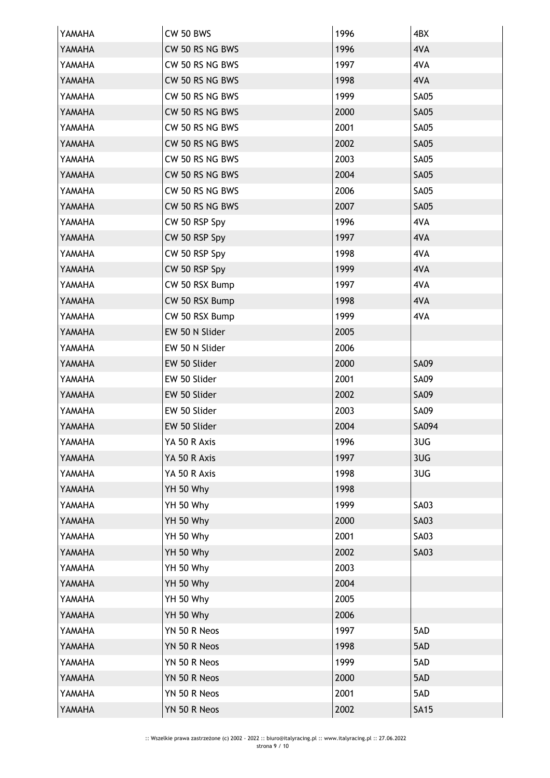| YAMAHA | <b>CW 50 BWS</b> | 1996 | 4BX         |
|--------|------------------|------|-------------|
| YAMAHA | CW 50 RS NG BWS  | 1996 | 4VA         |
| YAMAHA | CW 50 RS NG BWS  | 1997 | 4VA         |
| YAMAHA | CW 50 RS NG BWS  | 1998 | 4VA         |
| YAMAHA | CW 50 RS NG BWS  | 1999 | <b>SA05</b> |
| YAMAHA | CW 50 RS NG BWS  | 2000 | <b>SA05</b> |
| YAMAHA | CW 50 RS NG BWS  | 2001 | <b>SA05</b> |
| YAMAHA | CW 50 RS NG BWS  | 2002 | <b>SA05</b> |
| YAMAHA | CW 50 RS NG BWS  | 2003 | <b>SA05</b> |
| YAMAHA | CW 50 RS NG BWS  | 2004 | <b>SA05</b> |
| YAMAHA | CW 50 RS NG BWS  | 2006 | <b>SA05</b> |
| YAMAHA | CW 50 RS NG BWS  | 2007 | <b>SA05</b> |
| YAMAHA | CW 50 RSP Spy    | 1996 | 4VA         |
| YAMAHA | CW 50 RSP Spy    | 1997 | 4VA         |
| YAMAHA | CW 50 RSP Spy    | 1998 | 4VA         |
| YAMAHA | CW 50 RSP Spy    | 1999 | 4VA         |
| YAMAHA | CW 50 RSX Bump   | 1997 | 4VA         |
| YAMAHA | CW 50 RSX Bump   | 1998 | 4VA         |
| YAMAHA | CW 50 RSX Bump   | 1999 | 4VA         |
| YAMAHA | EW 50 N Slider   | 2005 |             |
| YAMAHA | EW 50 N Slider   | 2006 |             |
| YAMAHA | EW 50 Slider     | 2000 | <b>SA09</b> |
| YAMAHA | EW 50 Slider     | 2001 | <b>SA09</b> |
| YAMAHA | EW 50 Slider     | 2002 | <b>SA09</b> |
| YAMAHA | EW 50 Slider     | 2003 | <b>SA09</b> |
| YAMAHA | EW 50 Slider     | 2004 | SA094       |
| YAMAHA | YA 50 R Axis     | 1996 | 3UG         |
| YAMAHA | YA 50 R Axis     | 1997 | 3UG         |
| YAMAHA | YA 50 R Axis     | 1998 | 3UG         |
| YAMAHA | YH 50 Why        | 1998 |             |
| YAMAHA | YH 50 Why        | 1999 | <b>SA03</b> |
| YAMAHA | YH 50 Why        | 2000 | <b>SA03</b> |
| YAMAHA | YH 50 Why        | 2001 | <b>SA03</b> |
| YAMAHA | YH 50 Why        | 2002 | <b>SA03</b> |
| YAMAHA | YH 50 Why        | 2003 |             |
| YAMAHA | YH 50 Why        | 2004 |             |
| YAMAHA | YH 50 Why        | 2005 |             |
| YAMAHA | YH 50 Why        | 2006 |             |
| YAMAHA | YN 50 R Neos     | 1997 | 5AD         |
| YAMAHA | YN 50 R Neos     | 1998 | 5AD         |
| YAMAHA | YN 50 R Neos     | 1999 | 5AD         |
| YAMAHA | YN 50 R Neos     | 2000 | 5AD         |
| YAMAHA | YN 50 R Neos     | 2001 | 5AD         |
| YAMAHA | YN 50 R Neos     | 2002 | <b>SA15</b> |